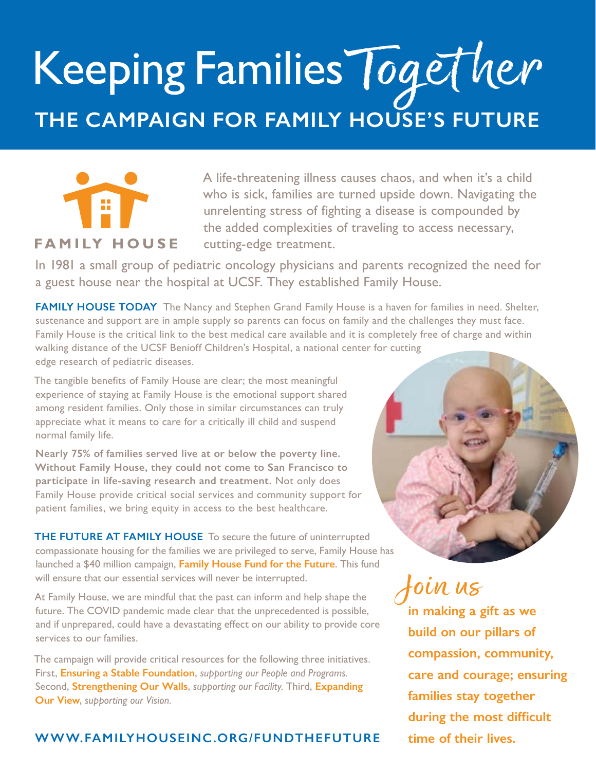# Keeping Families Together **THE CAMPAIGN FOR FAMILY HOUSE'S FUTURE**



### **FAMILY HOUSE**

A life-threatening illness causes chaos, and when it's a child who is sick, families are turned upside down. Navigating the unrelenting stress of fighting a disease is compounded by the added complexities of traveling to access necessary, cutting-edge treatment.

In 1981 a small group of pediatric oncology physicians and parents recognized the need for a guest house near the hospital at UCSF. They established Family House.

**FAMILY HOUSE TODAY** The Nancy and Stephen Grand Family House is a haven for families in need. Shelter, sustenance and support are in ample supply so parents can focus on family and the challenges they must face. Family House is the critical link to the best medical care available and it is completely free of charge and within walking distance of the UCSF Benioff Children's Hospital, a national center for cutting edge research of pediatric diseases.

The tangible benefits of Family House are clear; the most meaningful experience of staying at Family House is the emotional support shared among resident families. Only those in similar circumstances can truly appreciate what it means to care for a critically ill child and suspend normal family life.

**Nearly 75% of families served live at or below the poverty line. Without Family House, they could not come to San Francisco to participate in life-saving research and treatment.** Not only does Family House provide critical social services and community support for patient families, we bring equity in access to the best healthcare.

**THE FUTURE AT FAMILY HOUSE** To secure the future of uninterrupted compassionate housing for the families we are privileged to serve, Family House has launched a \$40 million campaign, **Family House Fund for the Future**. This fund will ensure that our essential services will never be interrupted.

At Family House, we are mindful that the past can inform and help shape the future. The COVID pandemic made clear that the unprecedented is possible, and if unprepared, could have a devastating effect on our ability to provide core services to our families.

The campaign will provide critical resources for the following three initiatives. First, **Ensuring a Stable Foundation**, *supporting our People and Programs*. Second, **Strengthening Our Walls**, *supporting our Facility*. Third, **Expanding Our View**, *supporting our Vision*.

### **[WWW.FAMILYHOUSEINC.ORG/FUNDTHEFUTURE](http://www.familyhouseinc.org/fundthefuture) time of their lives.**



Join us

**in making a gift as we build on our pillars of compassion, community, care and courage; ensuring families stay together during the most difficult**